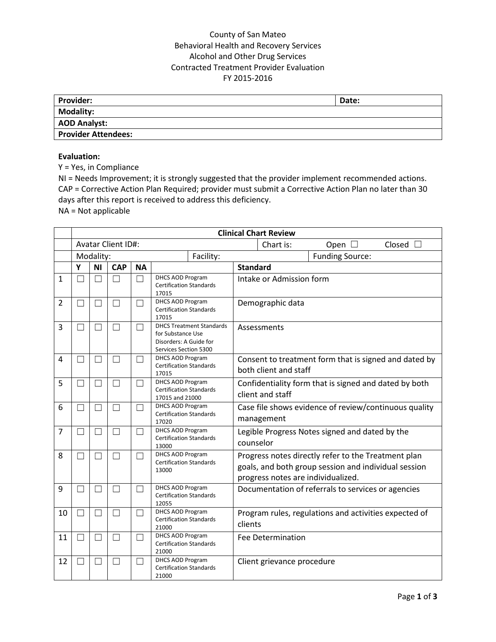## County of San Mateo Behavioral Health and Recovery Services Alcohol and Other Drug Services Contracted Treatment Provider Evaluation FY 2015-2016

| <b>Provider:</b>           | Date: |
|----------------------------|-------|
| Modality:                  |       |
| <b>AOD Analyst:</b>        |       |
| <b>Provider Attendees:</b> |       |

## **Evaluation:**

Y = Yes, in Compliance

NI = Needs Improvement; it is strongly suggested that the provider implement recommended actions. CAP = Corrective Action Plan Required; provider must submit a Corrective Action Plan no later than 30 days after this report is received to address this deficiency.

NA = Not applicable

|                | <b>Clinical Chart Review</b> |                   |                          |                |                                                                                                         |  |                                                                                                                                                   |                            |                                                       |                  |
|----------------|------------------------------|-------------------|--------------------------|----------------|---------------------------------------------------------------------------------------------------------|--|---------------------------------------------------------------------------------------------------------------------------------------------------|----------------------------|-------------------------------------------------------|------------------|
|                | Avatar Client ID#:           |                   |                          |                |                                                                                                         |  |                                                                                                                                                   | Chart is:                  | Open $\square$                                        | Closed $\square$ |
|                |                              | Modality:         |                          | Facility:      |                                                                                                         |  |                                                                                                                                                   |                            | <b>Funding Source:</b>                                |                  |
|                | Y                            | <b>NI</b>         | <b>CAP</b>               | <b>NA</b>      |                                                                                                         |  | <b>Standard</b>                                                                                                                                   |                            |                                                       |                  |
| $\mathbf{1}$   |                              | П                 | П                        | П              | <b>DHCS AOD Program</b><br><b>Certification Standards</b><br>17015                                      |  |                                                                                                                                                   | Intake or Admission form   |                                                       |                  |
| $\overline{2}$ |                              |                   | - 1                      |                | DHCS AOD Program<br><b>Certification Standards</b><br>17015                                             |  | Demographic data                                                                                                                                  |                            |                                                       |                  |
| 3              |                              |                   | $\overline{\phantom{a}}$ |                | <b>DHCS Treatment Standards</b><br>for Substance Use<br>Disorders: A Guide for<br>Services Section 5300 |  | Assessments                                                                                                                                       |                            |                                                       |                  |
| 4              |                              |                   | П                        |                | DHCS AOD Program<br><b>Certification Standards</b><br>17015                                             |  |                                                                                                                                                   | both client and staff      | Consent to treatment form that is signed and dated by |                  |
| 5              | $\mathcal{L}$                | $\vert \ \ \vert$ | П                        | □              | DHCS AOD Program<br><b>Certification Standards</b><br>17015 and 21000                                   |  | Confidentiality form that is signed and dated by both<br>client and staff                                                                         |                            |                                                       |                  |
| 6              |                              |                   | $\Box$                   | $\mathcal{L}$  | DHCS AOD Program<br><b>Certification Standards</b><br>17020                                             |  | Case file shows evidence of review/continuous quality<br>management                                                                               |                            |                                                       |                  |
| $\overline{7}$ |                              |                   | П                        | $\blacksquare$ | DHCS AOD Program<br><b>Certification Standards</b><br>13000                                             |  | counselor                                                                                                                                         |                            | Legible Progress Notes signed and dated by the        |                  |
| 8              |                              | - 1               | $\vert \ \ \vert$        | $\blacksquare$ | DHCS AOD Program<br><b>Certification Standards</b><br>13000                                             |  | Progress notes directly refer to the Treatment plan<br>goals, and both group session and individual session<br>progress notes are individualized. |                            |                                                       |                  |
| 9              | ٦                            | П                 | $\Box$                   | П              | <b>DHCS AOD Program</b><br><b>Certification Standards</b><br>12055                                      |  | Documentation of referrals to services or agencies                                                                                                |                            |                                                       |                  |
| 10             | П                            | П                 | $\Box$                   | П              | <b>DHCS AOD Program</b><br><b>Certification Standards</b><br>21000                                      |  | Program rules, regulations and activities expected of<br>clients                                                                                  |                            |                                                       |                  |
| 11             |                              |                   | П                        | ┓              | <b>DHCS AOD Program</b><br><b>Certification Standards</b><br>21000                                      |  |                                                                                                                                                   | <b>Fee Determination</b>   |                                                       |                  |
| 12             |                              |                   |                          |                | <b>DHCS AOD Program</b><br><b>Certification Standards</b><br>21000                                      |  |                                                                                                                                                   | Client grievance procedure |                                                       |                  |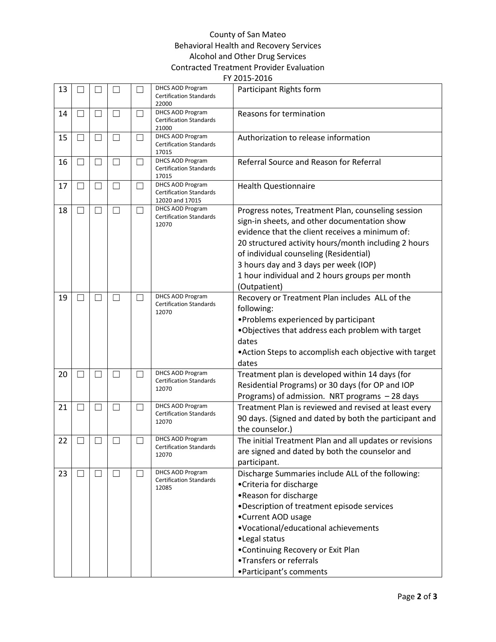## County of San Mateo Behavioral Health and Recovery Services Alcohol and Other Drug Services Contracted Treatment Provider Evaluation FY 2015-2016

| 13 |                          |                          |                   |                | DHCS AOD Program<br><b>Certification Standards</b><br>22000           | Participant Rights form                                                                                                                                                                                                                                                                                                                                            |  |
|----|--------------------------|--------------------------|-------------------|----------------|-----------------------------------------------------------------------|--------------------------------------------------------------------------------------------------------------------------------------------------------------------------------------------------------------------------------------------------------------------------------------------------------------------------------------------------------------------|--|
| 14 |                          |                          | $\vert \ \ \vert$ | $\blacksquare$ | DHCS AOD Program<br><b>Certification Standards</b><br>21000           | Reasons for termination                                                                                                                                                                                                                                                                                                                                            |  |
| 15 | ΓJ                       | $\overline{\phantom{a}}$ | П                 | П              | DHCS AOD Program<br><b>Certification Standards</b><br>17015           | Authorization to release information                                                                                                                                                                                                                                                                                                                               |  |
| 16 | $\Box$                   | $\vert \ \ \vert$        | П                 | П              | DHCS AOD Program<br><b>Certification Standards</b><br>17015           | Referral Source and Reason for Referral                                                                                                                                                                                                                                                                                                                            |  |
| 17 | $\overline{\phantom{a}}$ | $\Box$                   | $\Box$            | $\Box$         | DHCS AOD Program<br><b>Certification Standards</b><br>12020 and 17015 | <b>Health Questionnaire</b>                                                                                                                                                                                                                                                                                                                                        |  |
| 18 | ×.                       | $\Box$                   | $\vert \ \ \vert$ | $\Box$         | DHCS AOD Program<br><b>Certification Standards</b><br>12070           | Progress notes, Treatment Plan, counseling session<br>sign-in sheets, and other documentation show<br>evidence that the client receives a minimum of:<br>20 structured activity hours/month including 2 hours<br>of individual counseling (Residential)<br>3 hours day and 3 days per week (IOP)<br>1 hour individual and 2 hours groups per month<br>(Outpatient) |  |
| 19 | $\mathcal{L}$            | $\overline{\phantom{a}}$ | $\vert \ \ \vert$ | $\blacksquare$ | DHCS AOD Program<br><b>Certification Standards</b><br>12070           | Recovery or Treatment Plan includes ALL of the<br>following:<br>•Problems experienced by participant<br>. Objectives that address each problem with target<br>dates<br>• Action Steps to accomplish each objective with target<br>dates                                                                                                                            |  |
| 20 |                          |                          | $\Box$            |                | DHCS AOD Program<br><b>Certification Standards</b><br>12070           | Treatment plan is developed within 14 days (for<br>Residential Programs) or 30 days (for OP and IOP<br>Programs) of admission. NRT programs - 28 days                                                                                                                                                                                                              |  |
| 21 | П                        | П                        | П                 | П              | DHCS AOD Program<br><b>Certification Standards</b><br>12070           | Treatment Plan is reviewed and revised at least every<br>90 days. (Signed and dated by both the participant and<br>the counselor.)                                                                                                                                                                                                                                 |  |
| 22 |                          |                          |                   |                | DHCS AOD Program<br><b>Certification Standards</b><br>12070           | The initial Treatment Plan and all updates or revisions<br>are signed and dated by both the counselor and<br>participant.                                                                                                                                                                                                                                          |  |
| 23 |                          | $\mathbf{I}$             | $\Box$            |                | DHCS AOD Program<br><b>Certification Standards</b><br>12085           | Discharge Summaries include ALL of the following:<br>• Criteria for discharge<br>•Reason for discharge<br>•Description of treatment episode services<br>•Current AOD usage<br>•Vocational/educational achievements<br>•Legal status<br>•Continuing Recovery or Exit Plan<br>•Transfers or referrals<br>• Participant's comments                                    |  |